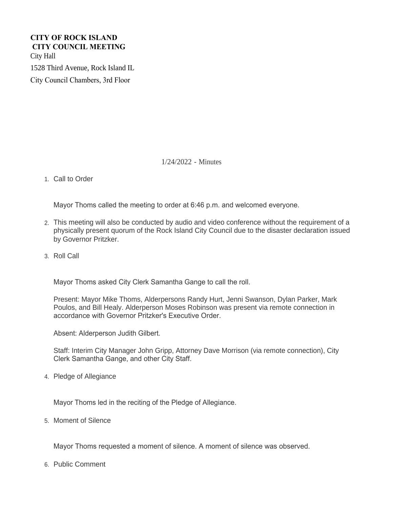# **CITY OF ROCK ISLAND CITY COUNCIL MEETING**  City Hall

1528 Third Avenue, Rock Island IL

City Council Chambers, 3rd Floor

1/24/2022 - Minutes

1. Call to Order

Mayor Thoms called the meeting to order at 6:46 p.m. and welcomed everyone.

- This meeting will also be conducted by audio and video conference without the requirement of a 2. physically present quorum of the Rock Island City Council due to the disaster declaration issued by Governor Pritzker.
- 3. Roll Call

Mayor Thoms asked City Clerk Samantha Gange to call the roll.

Present: Mayor Mike Thoms, Alderpersons Randy Hurt, Jenni Swanson, Dylan Parker, Mark Poulos, and Bill Healy. Alderperson Moses Robinson was present via remote connection in accordance with Governor Pritzker's Executive Order.

Absent: Alderperson Judith Gilbert.

Staff: Interim City Manager John Gripp, Attorney Dave Morrison (via remote connection), City Clerk Samantha Gange, and other City Staff.

4. Pledge of Allegiance

Mayor Thoms led in the reciting of the Pledge of Allegiance.

5. Moment of Silence

Mayor Thoms requested a moment of silence. A moment of silence was observed.

6. Public Comment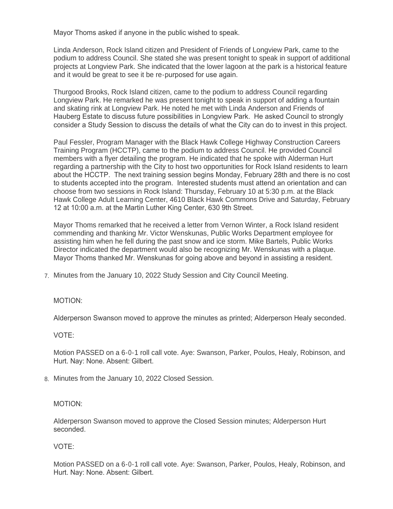Mayor Thoms asked if anyone in the public wished to speak.

Linda Anderson, Rock Island citizen and President of Friends of Longview Park, came to the podium to address Council. She stated she was present tonight to speak in support of additional projects at Longview Park. She indicated that the lower lagoon at the park is a historical feature and it would be great to see it be re-purposed for use again.

Thurgood Brooks, Rock Island citizen, came to the podium to address Council regarding Longview Park. He remarked he was present tonight to speak in support of adding a fountain and skating rink at Longview Park. He noted he met with Linda Anderson and Friends of Hauberg Estate to discuss future possibilities in Longview Park. He asked Council to strongly consider a Study Session to discuss the details of what the City can do to invest in this project.

Paul Fessler, Program Manager with the Black Hawk College Highway Construction Careers Training Program (HCCTP), came to the podium to address Council. He provided Council members with a flyer detailing the program. He indicated that he spoke with Alderman Hurt regarding a partnership with the City to host two opportunities for Rock Island residents to learn about the HCCTP. The next training session begins Monday, February 28th and there is no cost to students accepted into the program. Interested students must attend an orientation and can choose from two sessions in Rock Island: Thursday, February 10 at 5:30 p.m. at the Black Hawk College Adult Learning Center, 4610 Black Hawk Commons Drive and Saturday, February 12 at 10:00 a.m. at the Martin Luther King Center, 630 9th Street.

Mayor Thoms remarked that he received a letter from Vernon Winter, a Rock Island resident commending and thanking Mr. Victor Wenskunas, Public Works Department employee for assisting him when he fell during the past snow and ice storm. Mike Bartels, Public Works Director indicated the department would also be recognizing Mr. Wenskunas with a plaque. Mayor Thoms thanked Mr. Wenskunas for going above and beyond in assisting a resident.

Minutes from the January 10, 2022 Study Session and City Council Meeting. 7.

## MOTION:

Alderperson Swanson moved to approve the minutes as printed; Alderperson Healy seconded.

## VOTE:

Motion PASSED on a 6-0-1 roll call vote. Aye: Swanson, Parker, Poulos, Healy, Robinson, and Hurt. Nay: None. Absent: Gilbert.

Minutes from the January 10, 2022 Closed Session. 8.

#### MOTION:

Alderperson Swanson moved to approve the Closed Session minutes; Alderperson Hurt seconded.

## VOTE: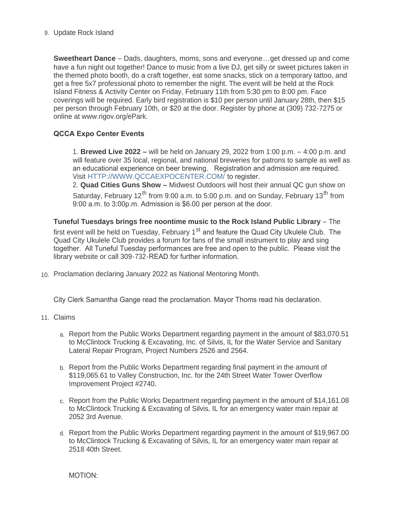## 9. Update Rock Island

**Sweetheart Dance** – Dads, daughters, moms, sons and everyone…get dressed up and come have a fun night out together! Dance to music from a live DJ, get silly or sweet pictures taken in the themed photo booth, do a craft together, eat some snacks, stick on a temporary tattoo, and get a free 5x7 professional photo to remember the night. The event will be held at the Rock Island Fitness & Activity Center on Friday, February 11th from 5:30 pm to 8:00 pm. Face coverings will be required. Early bird registration is \$10 per person until January 28th, then \$15 per person through February 10th, or \$20 at the door. Register by phone at (309) 732-7275 or online at www.rigov.org/ePark.

# **QCCA Expo Center Events**

1. **Brewed Live 2022 –** will be held on January 29, 2022 from 1:00 p.m. – 4:00 p.m. and will feature over 35 local, regional, and national breweries for patrons to sample as well as an educational experience on beer brewing. Registration and admission are required. Visit [HTTP://WWW.QCCAEXPOCENTER.COM/](http://www.qccaexpocenter.com/) to register.

2. **Quad Cities Guns Show –** Midwest Outdoors will host their annual QC gun show on Saturday, February 12<sup>th</sup> from 9:00 a.m. to 5:00 p.m. and on Sunday, February 13<sup>th</sup> from 9:00 a.m. to 3:00p.m. Admission is \$6.00 per person at the door.

**Tuneful Tuesdays brings free noontime music to the Rock Island Public Library** – The first event will be held on Tuesday, February 1<sup>st</sup> and feature the Quad City Ukulele Club. The Quad City Ukulele Club provides a forum for fans of the small instrument to play and sing together. All Tuneful Tuesday performances are free and open to the public. Please visit the library website or call 309-732-READ for further information.

10. Proclamation declaring January 2022 as National Mentoring Month.

City Clerk Samantha Gange read the proclamation. Mayor Thoms read his declaration.

- Claims 11.
	- a. Report from the Public Works Department regarding payment in the amount of \$83,070.51 to McClintock Trucking & Excavating, Inc. of Silvis, IL for the Water Service and Sanitary Lateral Repair Program, Project Numbers 2526 and 2564.
	- b. Report from the Public Works Department regarding final payment in the amount of \$119,065.61 to Valley Construction, Inc. for the 24th Street Water Tower Overflow Improvement Project #2740.
	- c. Report from the Public Works Department regarding payment in the amount of \$14,161.08 to McClintock Trucking & Excavating of Silvis, IL for an emergency water main repair at 2052 3rd Avenue.
	- d. Report from the Public Works Department regarding payment in the amount of \$19,967.00 to McClintock Trucking & Excavating of Silvis, IL for an emergency water main repair at 2518 40th Street.

MOTION: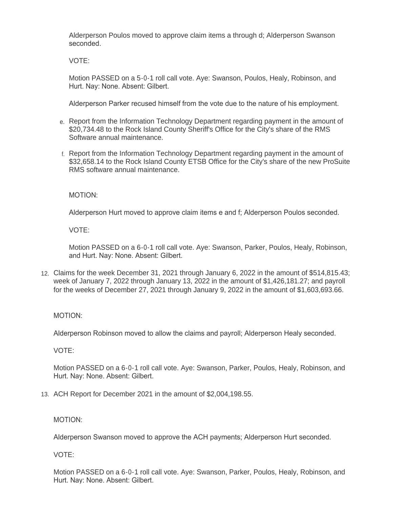Alderperson Poulos moved to approve claim items a through d; Alderperson Swanson seconded.

VOTE:

Motion PASSED on a 5-0-1 roll call vote. Aye: Swanson, Poulos, Healy, Robinson, and Hurt. Nay: None. Absent: Gilbert.

Alderperson Parker recused himself from the vote due to the nature of his employment.

- e. Report from the Information Technology Department regarding payment in the amount of \$20,734.48 to the Rock Island County Sheriff's Office for the City's share of the RMS Software annual maintenance.
- f. Report from the Information Technology Department regarding payment in the amount of \$32,658.14 to the Rock Island County ETSB Office for the City's share of the new ProSuite RMS software annual maintenance.

MOTION:

Alderperson Hurt moved to approve claim items e and f; Alderperson Poulos seconded.

VOTE:

Motion PASSED on a 6-0-1 roll call vote. Aye: Swanson, Parker, Poulos, Healy, Robinson, and Hurt. Nay: None. Absent: Gilbert.

Claims for the week December 31, 2021 through January 6, 2022 in the amount of \$514,815.43; 12. week of January 7, 2022 through January 13, 2022 in the amount of \$1,426,181.27; and payroll for the weeks of December 27, 2021 through January 9, 2022 in the amount of \$1,603,693.66.

## MOTION:

Alderperson Robinson moved to allow the claims and payroll; Alderperson Healy seconded.

VOTE:

Motion PASSED on a 6-0-1 roll call vote. Aye: Swanson, Parker, Poulos, Healy, Robinson, and Hurt. Nay: None. Absent: Gilbert.

ACH Report for December 2021 in the amount of \$2,004,198.55. 13.

## MOTION:

Alderperson Swanson moved to approve the ACH payments; Alderperson Hurt seconded.

VOTE: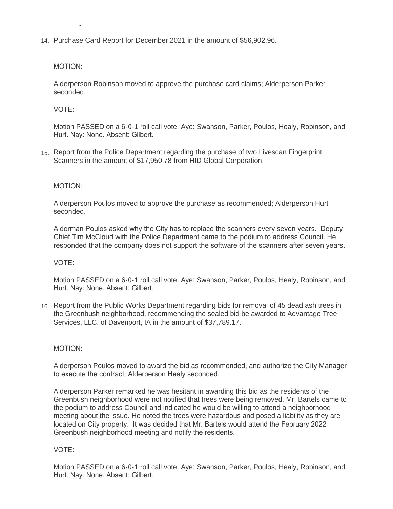14. Purchase Card Report for December 2021 in the amount of \$56,902.96.

#### MOTION:

Hurt. Nay: None. Absent: Gilbert.

Alderperson Robinson moved to approve the purchase card claims; Alderperson Parker seconded.

VOTE:

Motion PASSED on a 6-0-1 roll call vote. Aye: Swanson, Parker, Poulos, Healy, Robinson, and Hurt. Nay: None. Absent: Gilbert.

15. Report from the Police Department regarding the purchase of two Livescan Fingerprint Scanners in the amount of \$17,950.78 from HID Global Corporation.

#### MOTION:

Alderperson Poulos moved to approve the purchase as recommended; Alderperson Hurt seconded.

Alderman Poulos asked why the City has to replace the scanners every seven years. Deputy Chief Tim McCloud with the Police Department came to the podium to address Council. He responded that the company does not support the software of the scanners after seven years.

### VOTE:

Motion PASSED on a 6-0-1 roll call vote. Aye: Swanson, Parker, Poulos, Healy, Robinson, and Hurt. Nay: None. Absent: Gilbert.

16. Report from the Public Works Department regarding bids for removal of 45 dead ash trees in the Greenbush neighborhood, recommending the sealed bid be awarded to Advantage Tree Services, LLC. of Davenport, IA in the amount of \$37,789.17.

#### MOTION:

Alderperson Poulos moved to award the bid as recommended, and authorize the City Manager to execute the contract; Alderperson Healy seconded.

Alderperson Parker remarked he was hesitant in awarding this bid as the residents of the Greenbush neighborhood were not notified that trees were being removed. Mr. Bartels came to the podium to address Council and indicated he would be willing to attend a neighborhood meeting about the issue. He noted the trees were hazardous and posed a liability as they are located on City property. It was decided that Mr. Bartels would attend the February 2022 Greenbush neighborhood meeting and notify the residents.

## VOTE: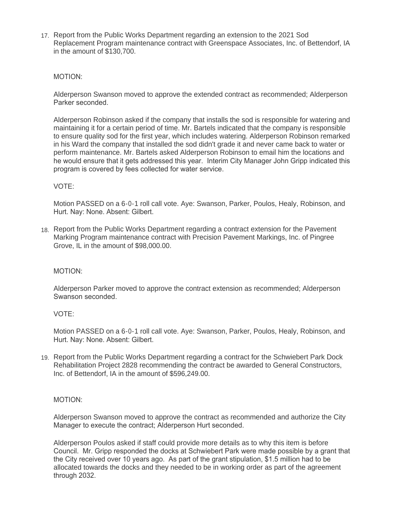17. Report from the Public Works Department regarding an extension to the 2021 Sod Replacement Program maintenance contract with Greenspace Associates, Inc. of Bettendorf, IA in the amount of \$130,700.

## MOTION:

Alderperson Swanson moved to approve the extended contract as recommended; Alderperson Parker seconded.

Alderperson Robinson asked if the company that installs the sod is responsible for watering and maintaining it for a certain period of time. Mr. Bartels indicated that the company is responsible to ensure quality sod for the first year, which includes watering. Alderperson Robinson remarked in his Ward the company that installed the sod didn't grade it and never came back to water or perform maintenance. Mr. Bartels asked Alderperson Robinson to email him the locations and he would ensure that it gets addressed this year. Interim City Manager John Gripp indicated this program is covered by fees collected for water service.

## VOTE:

Motion PASSED on a 6-0-1 roll call vote. Aye: Swanson, Parker, Poulos, Healy, Robinson, and Hurt. Nay: None. Absent: Gilbert.

18. Report from the Public Works Department regarding a contract extension for the Pavement Marking Program maintenance contract with Precision Pavement Markings, Inc. of Pingree Grove, IL in the amount of \$98,000.00.

#### MOTION:

Alderperson Parker moved to approve the contract extension as recommended; Alderperson Swanson seconded.

#### VOTE:

Motion PASSED on a 6-0-1 roll call vote. Aye: Swanson, Parker, Poulos, Healy, Robinson, and Hurt. Nay: None. Absent: Gilbert.

19. Report from the Public Works Department regarding a contract for the Schwiebert Park Dock Rehabilitation Project 2828 recommending the contract be awarded to General Constructors, Inc. of Bettendorf, IA in the amount of \$596,249.00.

#### MOTION:

Alderperson Swanson moved to approve the contract as recommended and authorize the City Manager to execute the contract; Alderperson Hurt seconded.

Alderperson Poulos asked if staff could provide more details as to why this item is before Council. Mr. Gripp responded the docks at Schwiebert Park were made possible by a grant that the City received over 10 years ago. As part of the grant stipulation, \$1.5 million had to be allocated towards the docks and they needed to be in working order as part of the agreement through 2032.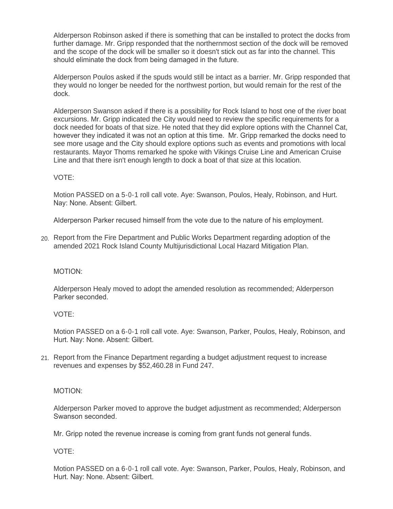Alderperson Robinson asked if there is something that can be installed to protect the docks from further damage. Mr. Gripp responded that the northernmost section of the dock will be removed and the scope of the dock will be smaller so it doesn't stick out as far into the channel. This should eliminate the dock from being damaged in the future.

Alderperson Poulos asked if the spuds would still be intact as a barrier. Mr. Gripp responded that they would no longer be needed for the northwest portion, but would remain for the rest of the dock.

Alderperson Swanson asked if there is a possibility for Rock Island to host one of the river boat excursions. Mr. Gripp indicated the City would need to review the specific requirements for a dock needed for boats of that size. He noted that they did explore options with the Channel Cat, however they indicated it was not an option at this time. Mr. Gripp remarked the docks need to see more usage and the City should explore options such as events and promotions with local restaurants. Mayor Thoms remarked he spoke with Vikings Cruise Line and American Cruise Line and that there isn't enough length to dock a boat of that size at this location.

## VOTE:

Motion PASSED on a 5-0-1 roll call vote. Aye: Swanson, Poulos, Healy, Robinson, and Hurt. Nay: None. Absent: Gilbert.

Alderperson Parker recused himself from the vote due to the nature of his employment.

Report from the Fire Department and Public Works Department regarding adoption of the 20. amended 2021 Rock Island County Multijurisdictional Local Hazard Mitigation Plan.

#### MOTION:

Alderperson Healy moved to adopt the amended resolution as recommended; Alderperson Parker seconded.

#### VOTE:

Motion PASSED on a 6-0-1 roll call vote. Aye: Swanson, Parker, Poulos, Healy, Robinson, and Hurt. Nay: None. Absent: Gilbert.

Report from the Finance Department regarding a budget adjustment request to increase 21. revenues and expenses by \$52,460.28 in Fund 247.

#### MOTION:

Alderperson Parker moved to approve the budget adjustment as recommended; Alderperson Swanson seconded.

Mr. Gripp noted the revenue increase is coming from grant funds not general funds.

VOTE: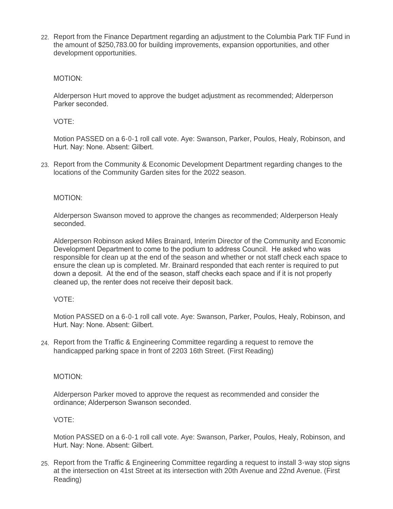22. Report from the Finance Department regarding an adjustment to the Columbia Park TIF Fund in the amount of \$250,783.00 for building improvements, expansion opportunities, and other development opportunities.

## MOTION:

Alderperson Hurt moved to approve the budget adjustment as recommended; Alderperson Parker seconded.

## VOTE:

Motion PASSED on a 6-0-1 roll call vote. Aye: Swanson, Parker, Poulos, Healy, Robinson, and Hurt. Nay: None. Absent: Gilbert.

23. Report from the Community & Economic Development Department regarding changes to the locations of the Community Garden sites for the 2022 season.

## MOTION:

Alderperson Swanson moved to approve the changes as recommended; Alderperson Healy seconded.

Alderperson Robinson asked Miles Brainard, Interim Director of the Community and Economic Development Department to come to the podium to address Council. He asked who was responsible for clean up at the end of the season and whether or not staff check each space to ensure the clean up is completed. Mr. Brainard responded that each renter is required to put down a deposit. At the end of the season, staff checks each space and if it is not properly cleaned up, the renter does not receive their deposit back.

#### VOTE:

Motion PASSED on a 6-0-1 roll call vote. Aye: Swanson, Parker, Poulos, Healy, Robinson, and Hurt. Nay: None. Absent: Gilbert.

Report from the Traffic & Engineering Committee regarding a request to remove the 24. handicapped parking space in front of 2203 16th Street. (First Reading)

## MOTION:

Alderperson Parker moved to approve the request as recommended and consider the ordinance; Alderperson Swanson seconded.

#### VOTE:

Motion PASSED on a 6-0-1 roll call vote. Aye: Swanson, Parker, Poulos, Healy, Robinson, and Hurt. Nay: None. Absent: Gilbert.

25. Report from the Traffic & Engineering Committee regarding a request to install 3-way stop signs at the intersection on 41st Street at its intersection with 20th Avenue and 22nd Avenue. (First Reading)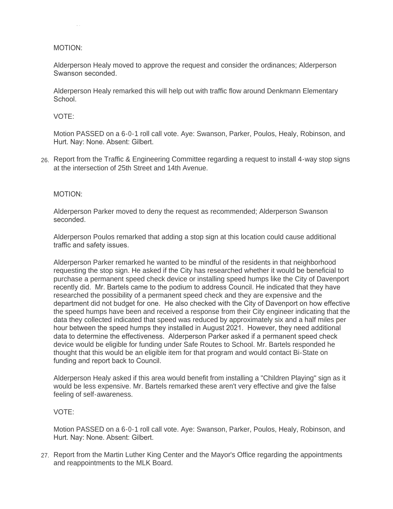## MOTION:

Reading)

Alderperson Healy moved to approve the request and consider the ordinances; Alderperson Swanson seconded.

Alderperson Healy remarked this will help out with traffic flow around Denkmann Elementary School.

## VOTE:

Motion PASSED on a 6-0-1 roll call vote. Aye: Swanson, Parker, Poulos, Healy, Robinson, and Hurt. Nay: None. Absent: Gilbert.

Report from the Traffic & Engineering Committee regarding a request to install 4-way stop signs 26. at the intersection of 25th Street and 14th Avenue.

#### MOTION:

Alderperson Parker moved to deny the request as recommended; Alderperson Swanson seconded.

Alderperson Poulos remarked that adding a stop sign at this location could cause additional traffic and safety issues.

Alderperson Parker remarked he wanted to be mindful of the residents in that neighborhood requesting the stop sign. He asked if the City has researched whether it would be beneficial to purchase a permanent speed check device or installing speed humps like the City of Davenport recently did. Mr. Bartels came to the podium to address Council. He indicated that they have researched the possibility of a permanent speed check and they are expensive and the department did not budget for one. He also checked with the City of Davenport on how effective the speed humps have been and received a response from their City engineer indicating that the data they collected indicated that speed was reduced by approximately six and a half miles per hour between the speed humps they installed in August 2021. However, they need additional data to determine the effectiveness. Alderperson Parker asked if a permanent speed check device would be eligible for funding under Safe Routes to School. Mr. Bartels responded he thought that this would be an eligible item for that program and would contact Bi-State on funding and report back to Council.

Alderperson Healy asked if this area would benefit from installing a "Children Playing" sign as it would be less expensive. Mr. Bartels remarked these aren't very effective and give the false feeling of self-awareness.

### VOTE:

Motion PASSED on a 6-0-1 roll call vote. Aye: Swanson, Parker, Poulos, Healy, Robinson, and Hurt. Nay: None. Absent: Gilbert.

27. Report from the Martin Luther King Center and the Mayor's Office regarding the appointments and reappointments to the MLK Board.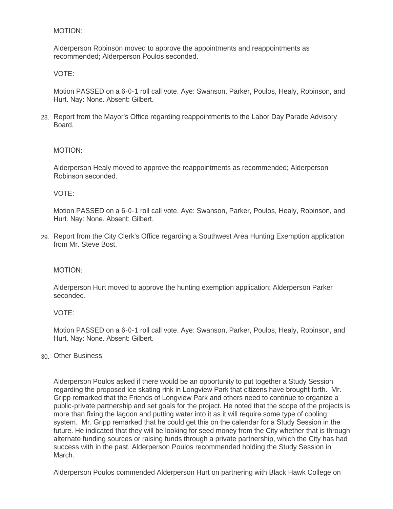## MOTION:

Alderperson Robinson moved to approve the appointments and reappointments as recommended; Alderperson Poulos seconded.

### VOTE:

Motion PASSED on a 6-0-1 roll call vote. Aye: Swanson, Parker, Poulos, Healy, Robinson, and Hurt. Nay: None. Absent: Gilbert.

28. Report from the Mayor's Office regarding reappointments to the Labor Day Parade Advisory Board.

#### MOTION:

Alderperson Healy moved to approve the reappointments as recommended; Alderperson Robinson seconded.

#### VOTE:

Motion PASSED on a 6-0-1 roll call vote. Aye: Swanson, Parker, Poulos, Healy, Robinson, and Hurt. Nay: None. Absent: Gilbert.

Report from the City Clerk's Office regarding a Southwest Area Hunting Exemption application 29. from Mr. Steve Bost.

#### MOTION:

Alderperson Hurt moved to approve the hunting exemption application; Alderperson Parker seconded.

#### VOTE:

Motion PASSED on a 6-0-1 roll call vote. Aye: Swanson, Parker, Poulos, Healy, Robinson, and Hurt. Nay: None. Absent: Gilbert.

## Other Business 30.

Alderperson Poulos asked if there would be an opportunity to put together a Study Session regarding the proposed ice skating rink in Longview Park that citizens have brought forth. Mr. Gripp remarked that the Friends of Longview Park and others need to continue to organize a public-private partnership and set goals for the project. He noted that the scope of the projects is more than fixing the lagoon and putting water into it as it will require some type of cooling system. Mr. Gripp remarked that he could get this on the calendar for a Study Session in the future. He indicated that they will be looking for seed money from the City whether that is through alternate funding sources or raising funds through a private partnership, which the City has had success with in the past. Alderperson Poulos recommended holding the Study Session in March.

Alderperson Poulos commended Alderperson Hurt on partnering with Black Hawk College on